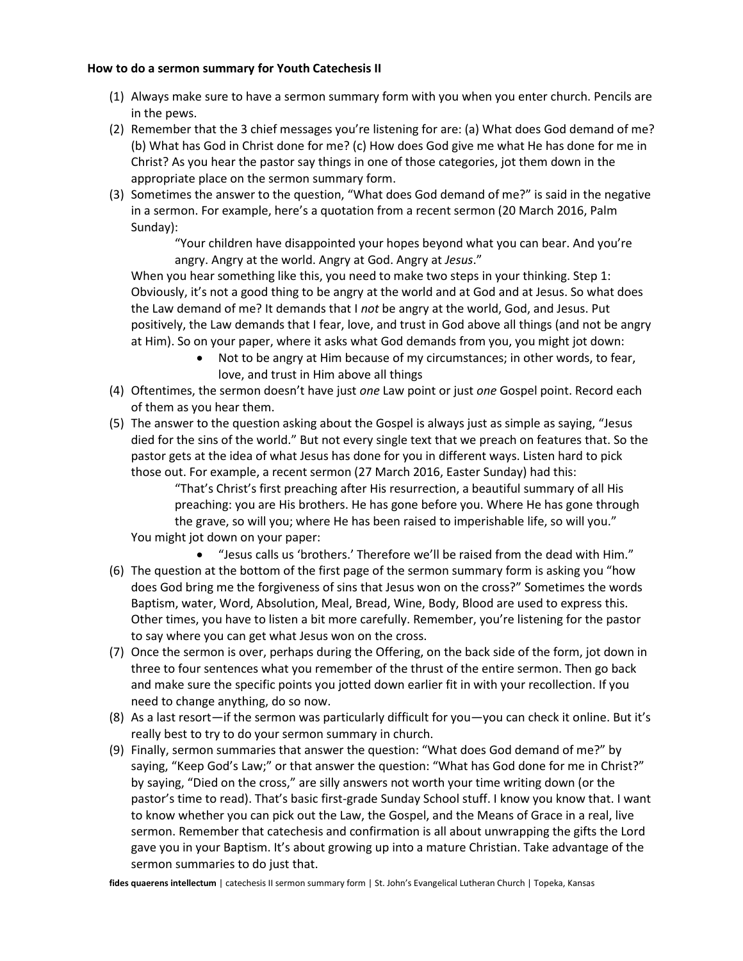## **How to do a sermon summary for Youth Catechesis II**

- (1) Always make sure to have a sermon summary form with you when you enter church. Pencils are in the pews.
- (2) Remember that the 3 chief messages you're listening for are: (a) What does God demand of me? (b) What has God in Christ done for me? (c) How does God give me what He has done for me in Christ? As you hear the pastor say things in one of those categories, jot them down in the appropriate place on the sermon summary form.
- (3) Sometimes the answer to the question, "What does God demand of me?" is said in the negative in a sermon. For example, here's a quotation from a recent sermon (20 March 2016, Palm Sunday):

"Your children have disappointed your hopes beyond what you can bear. And you're angry. Angry at the world. Angry at God. Angry at *Jesus*."

When you hear something like this, you need to make two steps in your thinking. Step 1: Obviously, it's not a good thing to be angry at the world and at God and at Jesus. So what does the Law demand of me? It demands that I *not* be angry at the world, God, and Jesus. Put positively, the Law demands that I fear, love, and trust in God above all things (and not be angry at Him). So on your paper, where it asks what God demands from you, you might jot down:

- Not to be angry at Him because of my circumstances; in other words, to fear, love, and trust in Him above all things
- (4) Oftentimes, the sermon doesn't have just *one* Law point or just *one* Gospel point. Record each of them as you hear them.
- (5) The answer to the question asking about the Gospel is always just as simple as saying, "Jesus died for the sins of the world." But not every single text that we preach on features that. So the pastor gets at the idea of what Jesus has done for you in different ways. Listen hard to pick those out. For example, a recent sermon (27 March 2016, Easter Sunday) had this:

"That's Christ's first preaching after His resurrection, a beautiful summary of all His preaching: you are His brothers. He has gone before you. Where He has gone through the grave, so will you; where He has been raised to imperishable life, so will you."

You might jot down on your paper:

- "Jesus calls us 'brothers.' Therefore we'll be raised from the dead with Him." (6) The question at the bottom of the first page of the sermon summary form is asking you "how does God bring me the forgiveness of sins that Jesus won on the cross?" Sometimes the words Baptism, water, Word, Absolution, Meal, Bread, Wine, Body, Blood are used to express this. Other times, you have to listen a bit more carefully. Remember, you're listening for the pastor to say where you can get what Jesus won on the cross.
- (7) Once the sermon is over, perhaps during the Offering, on the back side of the form, jot down in three to four sentences what you remember of the thrust of the entire sermon. Then go back and make sure the specific points you jotted down earlier fit in with your recollection. If you need to change anything, do so now.
- (8) As a last resort—if the sermon was particularly difficult for you—you can check it online. But it's really best to try to do your sermon summary in church.
- (9) Finally, sermon summaries that answer the question: "What does God demand of me?" by saying, "Keep God's Law;" or that answer the question: "What has God done for me in Christ?" by saying, "Died on the cross," are silly answers not worth your time writing down (or the pastor's time to read). That's basic first-grade Sunday School stuff. I know you know that. I want to know whether you can pick out the Law, the Gospel, and the Means of Grace in a real, live sermon. Remember that catechesis and confirmation is all about unwrapping the gifts the Lord gave you in your Baptism. It's about growing up into a mature Christian. Take advantage of the sermon summaries to do just that.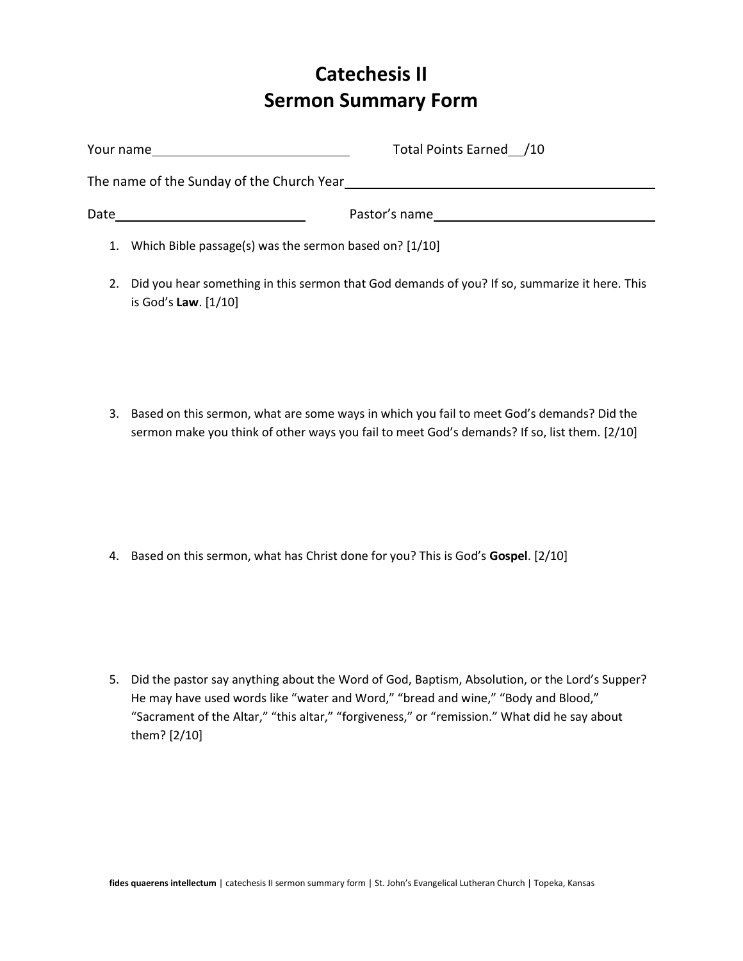## **Catechesis II Sermon Summary Form**

| Your name<br><u>and the state of the state of the state of the state of the state of the state of the state of the state of the state of the state of the state of the state of the state of the state of the state of the state of the state</u> | Total Points Earned /10 |
|---------------------------------------------------------------------------------------------------------------------------------------------------------------------------------------------------------------------------------------------------|-------------------------|
| The name of the Sunday of the Church Year The name of the Sunday                                                                                                                                                                                  |                         |
| Date                                                                                                                                                                                                                                              | Pastor's name           |
| 1. Which Bible passage(s) was the sermon based on? [1/10]                                                                                                                                                                                         |                         |

- 2. Did you hear something in this sermon that God demands of you? If so, summarize it here. This is God's **Law**. [1/10]
- 3. Based on this sermon, what are some ways in which you fail to meet God's demands? Did the sermon make you think of other ways you fail to meet God's demands? If so, list them. [2/10]

4. Based on this sermon, what has Christ done for you? This is God's **Gospel**. [2/10]

5. Did the pastor say anything about the Word of God, Baptism, Absolution, or the Lord's Supper? He may have used words like "water and Word," "bread and wine," "Body and Blood," "Sacrament of the Altar," "this altar," "forgiveness," or "remission." What did he say about them? [2/10]